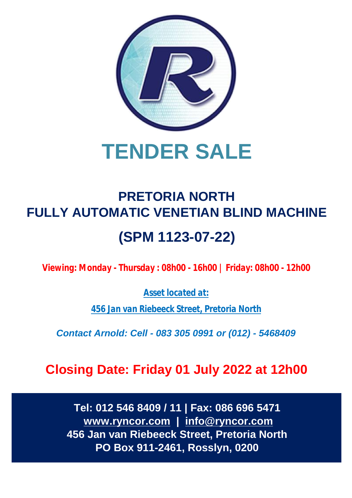

# **TENDER SALE**

## **PRETORIA NORTH FULLY AUTOMATIC VENETIAN BLIND MACHINE (SPM 1123-07-22)**

*Viewing: Monday - Thursday : 08h00 - 16h00 | Friday: 08h00 - 12h00*

*Asset located at:*

*456 Jan van Riebeeck Street, Pretoria North*

*Contact Arnold: Cell - 083 305 0991 or (012) - 5468409*

**Closing Date: Friday 01 July 2022 at 12h00**

**Tel: 012 546 8409 / 11 | Fax: 086 696 5471 [www.ryncor.com](http://www.ryncor.com) | [info@ryncor.com](mailto:info@ryncor.com) 456 Jan van Riebeeck Street, Pretoria North PO Box 911-2461, Rosslyn, 0200**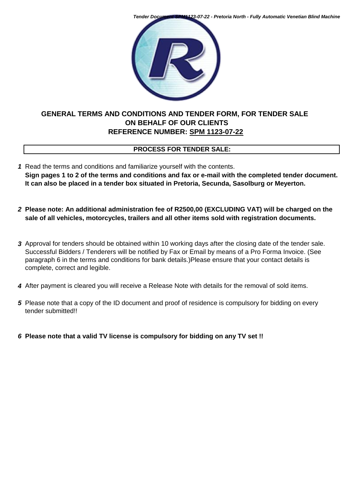*Tender Document SPM1123-07-22 - Pretoria North - Fully Automatic Venetian Blind Machine*



#### **GENERAL TERMS AND CONDITIONS AND TENDER FORM, FOR TENDER SALE ON BEHALF OF OUR CLIENTS REFERENCE NUMBER: SPM 1123-07-22**

#### **PROCESS FOR TENDER SALE:**

- *1* Read the terms and conditions and familiarize yourself with the contents. **Sign pages 1 to 2 of the terms and conditions and fax or e-mail with the completed tender document. It can also be placed in a tender box situated in Pretoria, Secunda, Sasolburg or Meyerton.**
- *2* **Please note: An additional administration fee of R2500,00 (EXCLUDING VAT) will be charged on the sale of all vehicles, motorcycles, trailers and all other items sold with registration documents.**
- *3* Approval for tenders should be obtained within 10 working days after the closing date of the tender sale. Successful Bidders / Tenderers will be notified by Fax or Email by means of a Pro Forma Invoice. (See paragraph 6 in the terms and conditions for bank details.)Please ensure that your contact details is complete, correct and legible.
- *4* After payment is cleared you will receive a Release Note with details for the removal of sold items.
- *5* Please note that a copy of the ID document and proof of residence is compulsory for bidding on every tender submitted!!
- *6* **Please note that a valid TV license is compulsory for bidding on any TV set !!**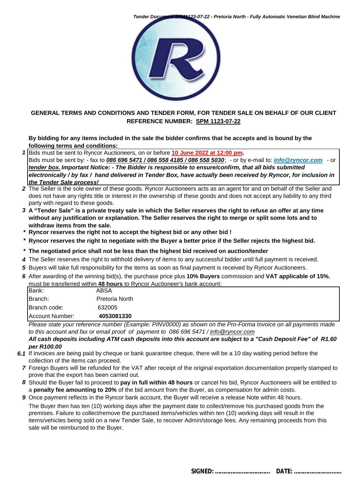



#### **GENERAL TERMS AND CONDITIONS AND TENDER FORM, FOR TENDER SALE ON BEHALF OF OUR CLIENT REFERENCE NUMBER: SPM 1123-07-22**

#### **By bidding for any items included in the sale the bidder confirms that he accepts and is bound by the following terms and conditions:**

*1* Bids must be sent to Ryncor Auctioneers, on or before **10 June 2022 at 12:00 pm.** 

Bids must be sent by: - fax to *086 696 5471 / 086 558 4185 / 086 558 5030*; - or by e-mail to: *[info@ryncor.com](mailto:info@ryncor.com)* - or *tender box. Important Notice: - The Bidder is responsible to ensure/confirm, that all bids submitted electronically / by fax / hand delivered in Tender Box, have actually been received by Ryncor, for inclusion in the Tender Sale process!*

- *2* The Seller is the sole owner of these goods. Ryncor Auctioneers acts as an agent for and on behalf of the Seller and does not have any rights title or interest in the ownership of these goods and does not accept any liability to any third party with regard to these goods.
- *3* **A "Tender Sale" is a private treaty sale in which the Seller reserves the right to refuse an offer at any time without any justification or explanation. The Seller reserves the right to merge or split some lots and to withdraw items from the sale.**
- *\** **Ryncor reserves the right not to accept the highest bid or any other bid !**
- *\** **Ryncor reserves the right to negotiate with the Buyer a better price if the Seller rejects the highest bid.**
- *\** **The negotiated price shall not be less than the highest bid received on auction/tender**
- *4* The Seller reserves the right to withhold delivery of items to any successful bidder until full payment is received.
- *5* Buyers will take full responsibility for the items as soon as final payment is received by Ryncor Auctioneers.
- *6* After awarding of the winning bid(s), the purchase price plus **10% Buyers** commission and **VAT applicable of 15%**, must be transferred within **48 hours** to Ryncor Auctioneer's bank account:

| Bank:           | ABSA           |  |
|-----------------|----------------|--|
| Branch:         | Pretoria North |  |
| Branch code:    | 632005         |  |
| Account Number: | 4053081330     |  |

*Please state your reference number (Example: PINV0000) as shown on the Pro-Forma Invoice on all payments made to this account and fax or email proof of payment to 086 696 5471 / [info@ryncor.com](mailto:info@ryncor.com)*

*All cash deposits including ATM cash deposits into this account are subject to a "Cash Deposit Fee" of R1.60 per R100.00* 

- *6.1* If invoices are being paid by cheque or bank guarantee cheque, there will be a 10 day waiting period before the collection of the items can proceed.
- *7* Foreign Buyers will be refunded for the VAT after receipt of the original exportation documentation properly stamped to prove that the export has been carried out.
- *8* Should the Buyer fail to proceed to **pay in full within 48 hours** or cancel his bid, Ryncor Auctioneers will be entitled to a **penalty fee amounting to 20%** of the bid amount from the Buyer, as compensation for admin costs.
- **9** Once payment reflects in the Ryncor bank account, the Buyer will receive a release Note within 48 hours. The Buyer then has ten (10) working days after the payment date to collect/remove his purchased goods from the premises. Failure to collect/remove the purchased items/vehicles within ten (10) working days will result in the items/vehicles being sold on a new Tender Sale, to recover Admin/storage fees. Any remaining proceeds from this sale will be reimbursed to the Buyer.

 **SIGNED: ……………..……………... DATE: ………….………...…..**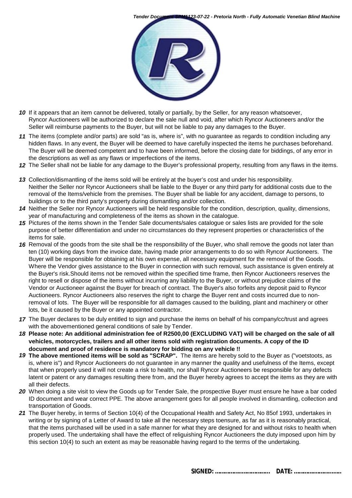



- *10* If it appears that an item cannot be delivered, totally or partially, by the Seller, for any reason whatsoever, Ryncor Auctioneers will be authorized to declare the sale null and void, after which Ryncor Auctioneers and/or the Seller will reimburse payments to the Buyer, but will not be liable to pay any damages to the Buyer.
- *11* The items (complete and/or parts) are sold "as is, where is", with no guarantee as regards to condition including any hidden flaws. In any event, the Buyer will be deemed to have carefully inspected the items he purchases beforehand. The Buyer will be deemed competent and to have been informed, before the closing date for biddings, of any error in the descriptions as well as any flaws or imperfections of the items.
- *12* The Seller shall not be liable for any damage to the Buyer's professional property, resulting from any flaws in the items.
- *13* Collection/dismantling of the items sold will be entirely at the buyer's cost and under his responsibility. Neither the Seller nor Ryncor Auctioneers shall be liable to the Buyer or any third party for additional costs due to the removal of the Items/vehicle from the premises. The Buyer shall be liable for any accident, damage to persons, to buildings or to the third party's property during dismantling and/or collection.
- *14* Neither the Seller nor Ryncor Auctioneers will be held responsible for the condition, description, quality, dimensions, year of manufacturing and completeness of the items as shown in the catalogue.
- *15* Pictures of the items shown in the Tender Sale documents/sales catalogue or sales lists are provided for the sole purpose of better differentiation and under no circumstances do they represent properties or characteristics of the items for sale.
- 16 Removal of the goods from the site shall be the responsibility of the Buyer, who shall remove the goods not later than ten (10) working days from the invoice date, having made prior arrangements to do so with Ryncor Auctioneers. The Buyer will be responsible for obtaining at his own expense, all necessary equipment for the removal of the Goods. Where the Vendor gives assistance to the Buyer in connection with such removal, such assistance is given entirely at the Buyer's risk.Should items not be removed within the specified time frame, then Ryncor Auctioneers reserves the right to resell or dispose of the items without incurring any liability to the Buyer, or without prejudice claims of the Vendor or Auctioneer against the Buyer for breach of contract. The Buyer's also forfeits any deposit paid to Ryncor Auctioneers. Ryncor Auctioneers also reserves the right to charge the Buyer rent and costs incurred due to nonremoval of lots. The Buyer will be responsible for all damages caused to the building, plant and machinery or other lots, be it caused by the Buyer or any appointed contractor.
- *17* The Buyer declares to be duly entitled to sign and purchase the items on behalf of his company/cc/trust and agrees with the abovementioned general conditions of sale by Tender.
- *18* **Please note: An additional administration fee of R2500,00 (EXCLUDING VAT) will be charged on the sale of all vehicles, motorcycles, trailers and all other items sold with registration documents. A copy of the ID document and proof of residence is mandatory for bidding on any vehicle !!**
- *19* **The above mentioned items will be sold as "SCRAP".** The items are hereby sold to the Buyer as ("voetstoots, as is, where is") and Ryncor Auctioneers do not guarantee in any manner the quality and usefulness of the Items, except that when properly used it will not create a risk to health, nor shall Ryncor Auctioneers be responsible for any defects latent or patent or any damages resulting there from, and the Buyer hereby agrees to accept the items as they are with all their defects.
- *20* When doing a site visit to view the Goods up for Tender Sale, the prospective Buyer must ensure he have a bar coded ID document and wear correct PPE. The above arrangement goes for all people involved in dismantling, collection and transportation of Goods.
- *21* The Buyer hereby, in terms of Section 10(4) of the Occupational Health and Safety Act, No 85of 1993, undertakes in writing or by signing of a Letter of Award to take all the necessary steps toensure, as far as it is reasonably practical, that the items purchased will be used in a safe manner for what they are designed for and without risks to health when properly used. The undertaking shall have the effect of religuishing Ryncor Auctioneers the duty imposed upon him by this section 10(4) to such an extent as may be reasonable having regard to the terms of the undertaking.

 **SIGNED: ……………..……………... DATE: ………….………...…..**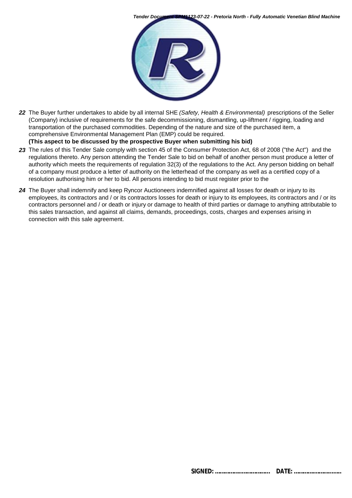



*22* The Buyer further undertakes to abide by all internal SHE *(Safety, Health & Environmental)* prescriptions of the Seller (Company) inclusive of requirements for the safe decommissioning, dismantling, up-liftment / rigging, loading and transportation of the purchased commodities. Depending of the nature and size of the purchased item, a comprehensive Environmental Management Plan (EMP) could be required.

**(This aspect to be discussed by the prospective Buyer when submitting his bid)**

- *23* The rules of this Tender Sale comply with section 45 of the Consumer Protection Act, 68 of 2008 ("the Act") and the regulations thereto. Any person attending the Tender Sale to bid on behalf of another person must produce a letter of authority which meets the requirements of regulation 32(3) of the regulations to the Act. Any person bidding on behalf of a company must produce a letter of authority on the letterhead of the company as well as a certified copy of a resolution authorising him or her to bid. All persons intending to bid must register prior to the
- *24* The Buyer shall indemnify and keep Ryncor Auctioneers indemnified against all losses for death or injury to its employees, its contractors and / or its contractors losses for death or injury to its employees, its contractors and / or its contractors personnel and / or death or injury or damage to health of third parties or damage to anything attributable to this sales transaction, and against all claims, demands, proceedings, costs, charges and expenses arising in connection with this sale agreement.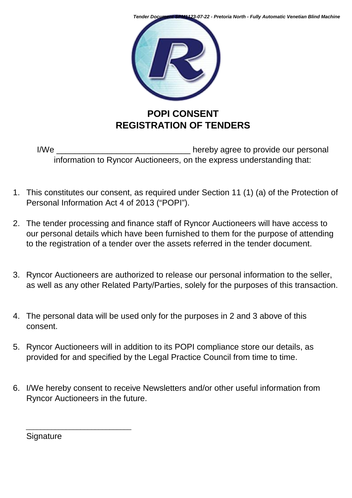

I/We \_\_\_\_\_\_\_\_\_\_\_\_\_\_\_\_\_\_\_\_\_\_\_\_\_\_\_\_\_ hereby agree to provide our personal information to Ryncor Auctioneers, on the express understanding that:

- 1. This constitutes our consent, as required under Section 11 (1) (a) of the Protection of Personal Information Act 4 of 2013 ("POPI").
- 2. The tender processing and finance staff of Ryncor Auctioneers will have access to our personal details which have been furnished to them for the purpose of attending to the registration of a tender over the assets referred in the tender document.
- 3. Ryncor Auctioneers are authorized to release our personal information to the seller, as well as any other Related Party/Parties, solely for the purposes of this transaction.
- 4. The personal data will be used only for the purposes in 2 and 3 above of this consent.
- 5. Ryncor Auctioneers will in addition to its POPI compliance store our details, as provided for and specified by the Legal Practice Council from time to time.
- 6. I/We hereby consent to receive Newsletters and/or other useful information from Ryncor Auctioneers in the future.

**Signature** 

\_\_\_\_\_\_\_\_\_\_\_\_\_\_\_\_\_\_\_\_\_\_\_\_\_\_\_\_\_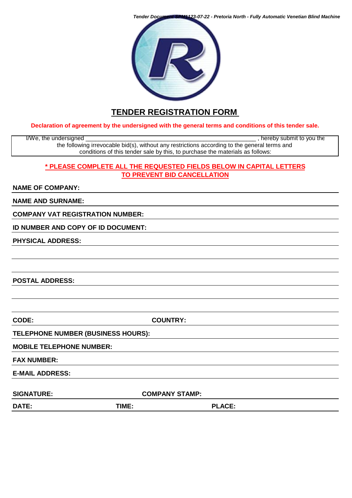*Tender Document SPM1123-07-22 - Pretoria North - Fully Automatic Venetian Blind Machine*



### **TENDER REGISTRATION FORM**

**Declaration of agreement by the undersigned with the general terms and conditions of this tender sale.**

I/We, the undersigned \_\_\_\_\_\_\_\_\_\_\_\_\_\_\_\_\_\_\_\_\_\_\_\_\_\_\_\_\_\_\_\_\_\_\_\_\_\_\_\_\_\_\_\_\_\_\_\_\_\_\_\_ , hereby submit to you the the following irrevocable bid(s), without any restrictions according to the general terms and conditions of this tender sale by this, to purchase the materials as follows:

#### **\* PLEASE COMPLETE ALL THE REQUESTED FIELDS BELOW IN CAPITAL LETTERS TO PREVENT BID CANCELLATION**

#### **NAME OF COMPANY:**

**NAME AND SURNAME:**

**COMPANY VAT REGISTRATION NUMBER:**

**ID NUMBER AND COPY OF ID DOCUMENT:**

**PHYSICAL ADDRESS:**

**POSTAL ADDRESS:**

**CODE: COUNTRY:**

**TELEPHONE NUMBER (BUSINESS HOURS):**

**MOBILE TELEPHONE NUMBER:**

**FAX NUMBER:**

**E-MAIL ADDRESS:** 

SIGNATURE: COMPANY STAMP:

**DATE: TIME: PLACE:**